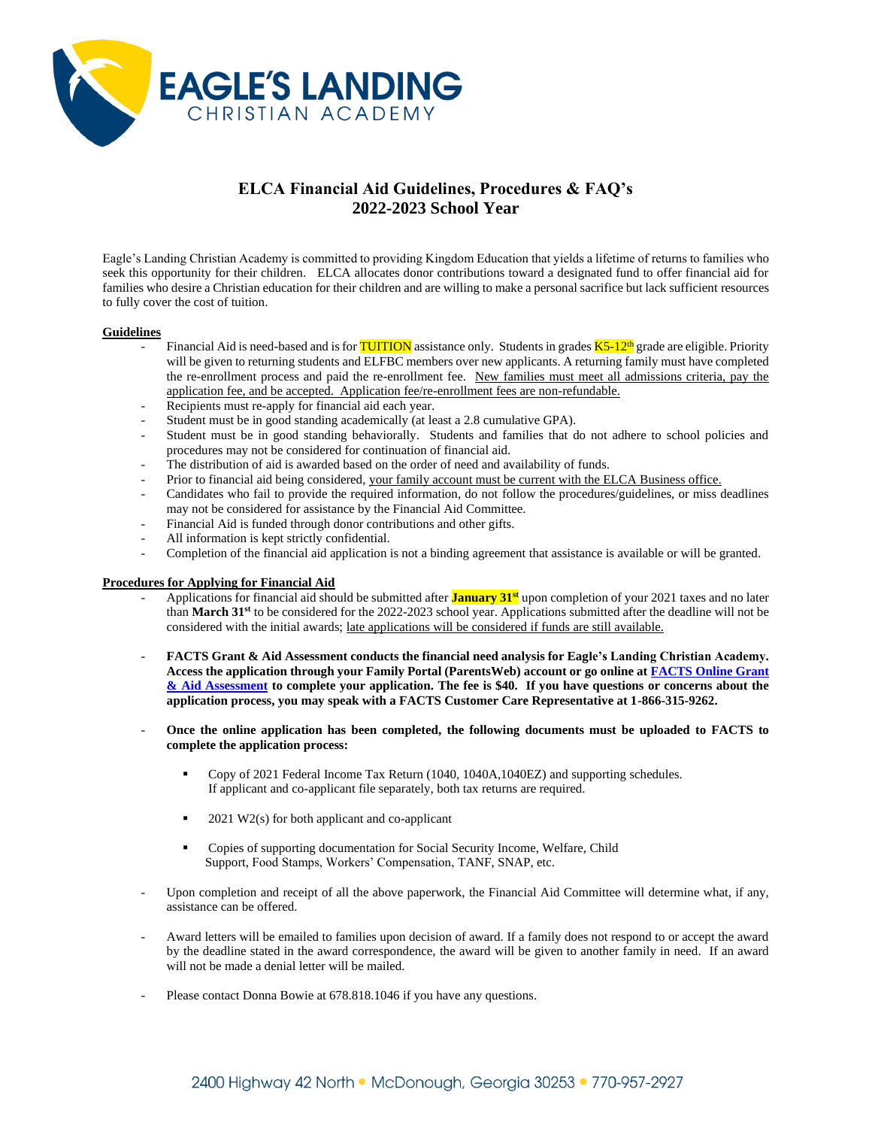

# **ELCA Financial Aid Guidelines, Procedures & FAQ's 2022-2023 School Year**

Eagle's Landing Christian Academy is committed to providing Kingdom Education that yields a lifetime of returns to families who seek this opportunity for their children. ELCA allocates donor contributions toward a designated fund to offer financial aid for families who desire a Christian education for their children and are willing to make a personal sacrifice but lack sufficient resources to fully cover the cost of tuition.

#### **Guidelines**

- Financial Aid is need-based and is for **TUITION** assistance only. Students in grades  $\overline{K5-12^{th}}$  grade are eligible. Priority will be given to returning students and ELFBC members over new applicants. A returning family must have completed the re-enrollment process and paid the re-enrollment fee. New families must meet all admissions criteria, pay the application fee, and be accepted. Application fee/re-enrollment fees are non-refundable.
- Recipients must re-apply for financial aid each year.
- Student must be in good standing academically (at least a 2.8 cumulative GPA).
- Student must be in good standing behaviorally. Students and families that do not adhere to school policies and procedures may not be considered for continuation of financial aid.
- The distribution of aid is awarded based on the order of need and availability of funds.
- Prior to financial aid being considered, your family account must be current with the ELCA Business office.
- Candidates who fail to provide the required information, do not follow the procedures/guidelines, or miss deadlines may not be considered for assistance by the Financial Aid Committee.
- Financial Aid is funded through donor contributions and other gifts.
- All information is kept strictly confidential.
- Completion of the financial aid application is not a binding agreement that assistance is available or will be granted.

#### **Procedures for Applying for Financial Aid**

- Applications for financial aid should be submitted after **January 31st** upon completion of your 2021 taxes and no later than **March 31 st** to be considered for the 2022-2023 school year. Applications submitted after the deadline will not be considered with the initial awards; late applications will be considered if funds are still available.
- **FACTS Grant & Aid Assessment conducts the financial need analysis for Eagle's Landing Christian Academy. Access the application through your Family Portal (ParentsWeb) account or go online at [FACTS Online Grant](../../FACTS%20Online%20Grant%20&%20Aid%20Assessment.html)  [& Aid Assessment](../../FACTS%20Online%20Grant%20&%20Aid%20Assessment.html) to complete your application. The fee is \$40. If you have questions or concerns about the application process, you may speak with a FACTS Customer Care Representative at 1-866-315-9262.**
- **Once the online application has been completed, the following documents must be uploaded to FACTS to complete the application process:**
	- Copy of 2021 Federal Income Tax Return (1040, 1040A,1040EZ) and supporting schedules. If applicant and co-applicant file separately, both tax returns are required.
	- $2021$  W2(s) for both applicant and co-applicant
	- Copies of supporting documentation for Social Security Income, Welfare, Child Support, Food Stamps, Workers' Compensation, TANF, SNAP, etc.
- Upon completion and receipt of all the above paperwork, the Financial Aid Committee will determine what, if any, assistance can be offered.
- Award letters will be emailed to families upon decision of award. If a family does not respond to or accept the award by the deadline stated in the award correspondence, the award will be given to another family in need. If an award will not be made a denial letter will be mailed.
- Please contact Donna Bowie at 678.818.1046 if you have any questions.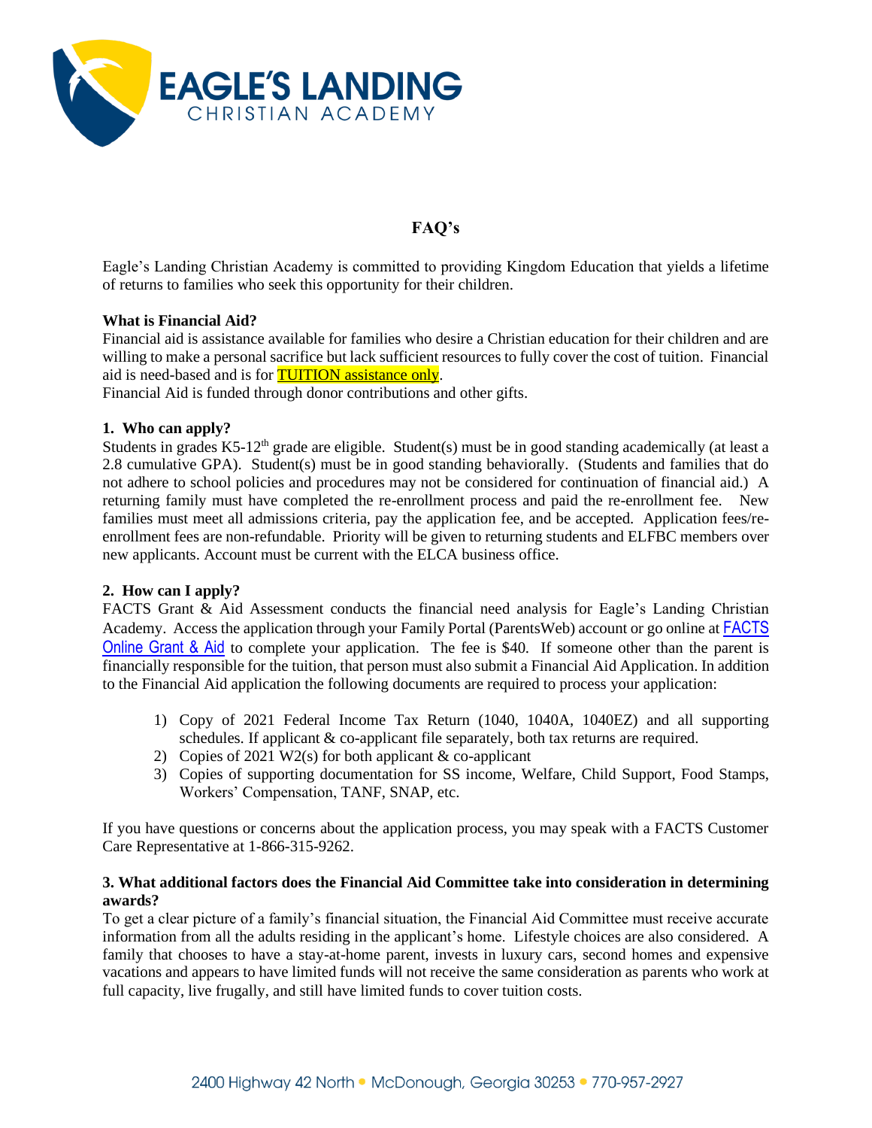

# **FAQ's**

Eagle's Landing Christian Academy is committed to providing Kingdom Education that yields a lifetime of returns to families who seek this opportunity for their children.

### **What is Financial Aid?**

Financial aid is assistance available for families who desire a Christian education for their children and are willing to make a personal sacrifice but lack sufficient resources to fully cover the cost of tuition. Financial aid is need-based and is for **TUITION** assistance only.

Financial Aid is funded through donor contributions and other gifts.

#### **1. Who can apply?**

Students in grades  $K5-12<sup>th</sup>$  grade are eligible. Student(s) must be in good standing academically (at least a 2.8 cumulative GPA). Student(s) must be in good standing behaviorally. (Students and families that do not adhere to school policies and procedures may not be considered for continuation of financial aid.) A returning family must have completed the re-enrollment process and paid the re-enrollment fee. New families must meet all admissions criteria, pay the application fee, and be accepted. Application fees/reenrollment fees are non-refundable. Priority will be given to returning students and ELFBC members over new applicants. Account must be current with the ELCA business office.

## **2. How can I apply?**

FACTS Grant & Aid Assessment conducts the financial need analysis for Eagle's Landing Christian Academy. Access the application through your Family Portal (ParentsWeb) account or go online at [FACTS](../../FACTS%20Online%20Grant%20&%20Aid%20Assessment.html)  [Online Grant & Aid](../../FACTS%20Online%20Grant%20&%20Aid%20Assessment.html) to complete your application. The fee is \$40. If someone other than the parent is financially responsible for the tuition, that person must also submit a Financial Aid Application. In addition to the Financial Aid application the following documents are required to process your application:

- 1) Copy of 2021 Federal Income Tax Return (1040, 1040A, 1040EZ) and all supporting schedules. If applicant & co-applicant file separately, both tax returns are required.
- 2) Copies of 2021 W2(s) for both applicant  $&$  co-applicant
- 3) Copies of supporting documentation for SS income, Welfare, Child Support, Food Stamps, Workers' Compensation, TANF, SNAP, etc.

If you have questions or concerns about the application process, you may speak with a FACTS Customer Care Representative at 1-866-315-9262.

#### **3. What additional factors does the Financial Aid Committee take into consideration in determining awards?**

To get a clear picture of a family's financial situation, the Financial Aid Committee must receive accurate information from all the adults residing in the applicant's home. Lifestyle choices are also considered. A family that chooses to have a stay-at-home parent, invests in luxury cars, second homes and expensive vacations and appears to have limited funds will not receive the same consideration as parents who work at full capacity, live frugally, and still have limited funds to cover tuition costs.